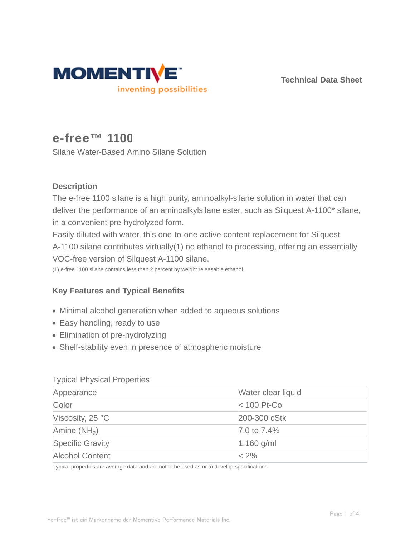

**Technical Data Sheet**

# **e-free™ 1100**

Silane Water-Based Amino Silane Solution

## **Description**

The e-free 1100 silane is a high purity, aminoalkyl-silane solution in water that can deliver the performance of an aminoalkylsilane ester, such as Silquest A-1100\* silane, in a convenient pre-hydrolyzed form.

Easily diluted with water, this one-to-one active content replacement for Silquest A-1100 silane contributes virtually(1) no ethanol to processing, offering an essentially VOC-free version of Silquest A-1100 silane.

(1) e-free 1100 silane contains less than 2 percent by weight releasable ethanol.

# **Key Features and Typical Benefits**

- Minimal alcohol generation when added to aqueous solutions
- Easy handling, ready to use
- Elimination of pre-hydrolyzing
- Shelf-stability even in presence of atmospheric moisture

## Typical Physical Properties

| Appearance                         | Water-clear liquid |
|------------------------------------|--------------------|
| Color                              | $ $ < 100 Pt-Co    |
| Viscosity, $25^{\circ}$ C          | 200-300 cStk       |
| $\forall$ Amine (NH <sub>2</sub> ) | 7.0 to 7.4%        |
| <b>Specific Gravity</b>            | $1.160$ g/ml       |
| <b>Alcohol Content</b>             | $< 2\%$            |

Typical properties are average data and are not to be used as or to develop specifications.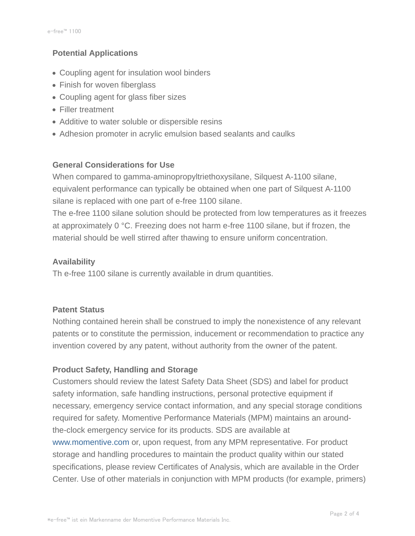## **Potential Applications**

- Coupling agent for insulation wool binders
- Finish for woven fiberglass
- Coupling agent for glass fiber sizes
- Filler treatment
- Additive to water soluble or dispersible resins
- Adhesion promoter in acrylic emulsion based sealants and caulks

## **General Considerations for Use**

When compared to gamma-aminopropyltriethoxysilane, Silquest A-1100 silane, equivalent performance can typically be obtained when one part of Silquest A-1100 silane is replaced with one part of e-free 1100 silane.

The e-free 1100 silane solution should be protected from low temperatures as it freezes at approximately 0 °C. Freezing does not harm e-free 1100 silane, but if frozen, the material should be well stirred after thawing to ensure uniform concentration.

## **Availability**

Th e-free 1100 silane is currently available in drum quantities.

## **Patent Status**

Nothing contained herein shall be construed to imply the nonexistence of any relevant patents or to constitute the permission, inducement or recommendation to practice any invention covered by any patent, without authority from the owner of the patent.

## **Product Safety, Handling and Storage**

Customers should review the latest Safety Data Sheet (SDS) and label for product safety information, safe handling instructions, personal protective equipment if necessary, emergency service contact information, and any special storage conditions required for safety. Momentive Performance Materials (MPM) maintains an aroundthe-clock emergency service for its products. SDS are available at www.momentive.com or, upon request, from any MPM representative. For product storage and handling procedures to maintain the product quality within our stated specifications, please review Certificates of Analysis, which are available in the Order Center. Use of other materials in conjunction with MPM products (for example, primers)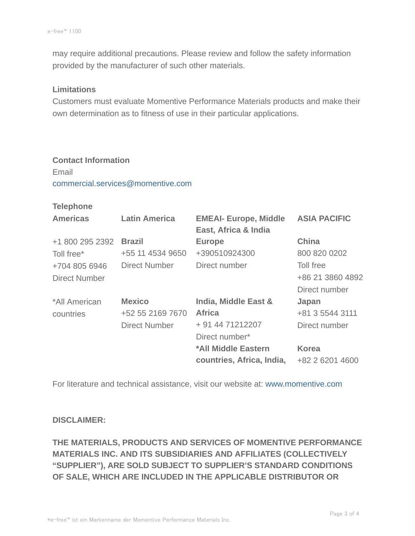may require additional precautions. Please review and follow the safety information provided by the manufacturer of such other materials.

#### **Limitations**

Customers must evaluate Momentive Performance Materials products and make their own determination as to fitness of use in their particular applications.

## **Contact Information** Email

commercial.services@momentive.com

## **Telephone**

| <b>Americas</b>      | <b>Latin America</b> | <b>EMEAI- Europe, Middle</b><br>East, Africa & India | <b>ASIA PACIFIC</b> |
|----------------------|----------------------|------------------------------------------------------|---------------------|
| +1 800 295 2392      | <b>Brazil</b>        | <b>Europe</b>                                        | <b>China</b>        |
| Toll free*           | +55 11 4534 9650     | +390510924300                                        | 800 820 0202        |
| +704 805 6946        | Direct Number        | Direct number                                        | Toll free           |
| <b>Direct Number</b> |                      |                                                      | +86 21 3860 4892    |
|                      |                      |                                                      | Direct number       |
| *All American        | <b>Mexico</b>        | India, Middle East &                                 | Japan               |
| countries            | +52 55 2169 7670     | <b>Africa</b>                                        | +81 3 5544 3111     |
|                      | Direct Number        | + 91 44 71212207                                     | Direct number       |
|                      |                      | Direct number*                                       |                     |
|                      |                      | *All Middle Eastern                                  | <b>Korea</b>        |
|                      |                      | countries, Africa, India,                            | +82 2 6201 4600     |

For literature and technical assistance, visit our website at: www.momentive.com

## **DISCLAIMER:**

**THE MATERIALS, PRODUCTS AND SERVICES OF MOMENTIVE PERFORMANCE MATERIALS INC. AND ITS SUBSIDIARIES AND AFFILIATES (COLLECTIVELY "SUPPLIER"), ARE SOLD SUBJECT TO SUPPLIER'S STANDARD CONDITIONS OF SALE, WHICH ARE INCLUDED IN THE APPLICABLE DISTRIBUTOR OR**